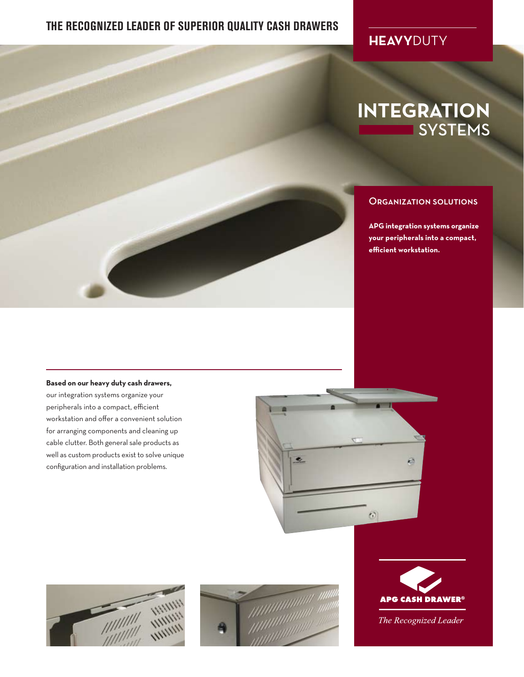### **THE RECOGNIZED LEADER OF SUPERIOR QUALITY CASH DRAWERS**

## **HEAVY**DUTY

# **INTEGRATION** SYSTEMS

#### Organization solutions

**APG integration systems organize your peripherals into a compact, efficient workstation.** 

#### **Based on our heavy duty cash drawers,**

our integration systems organize your peripherals into a compact, efficient workstation and offer a convenient solution for arranging components and cleaning up cable clutter. Both general sale products as well as custom products exist to solve unique configuration and installation problems.









The Recognized Leader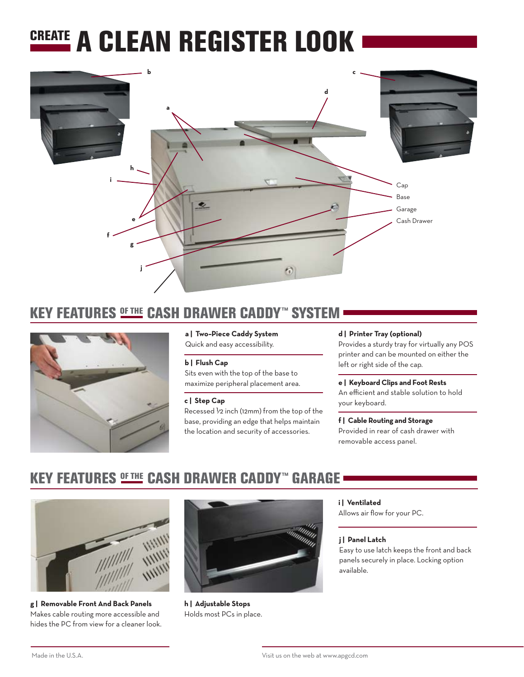# CREATE A CLEAN REGISTER LOOK



## KEY FEATURES <u>®ETHE</u> CASH DRAWER CADDY™ SYSTEM



#### **a | Two–Piece Caddy System**

Quick and easy accessibility.

#### **b | Flush Cap**

Sits even with the top of the base to maximize peripheral placement area.

#### **c | Step Cap**

Recessed  $\frac{1}{2}$  inch (12mm) from the top of the base, providing an edge that helps maintain the location and security of accessories.

#### **d | Printer Tray (optional)**

Provides a sturdy tray for virtually any POS printer and can be mounted on either the left or right side of the cap.

### **e | Keyboard Clips and Foot Rests**

An efficient and stable solution to hold your keyboard.

#### **f | Cable Routing and Storage** Provided in rear of cash drawer with

removable access panel.

## KEY FEATURES <u>®ETHE</u> CASH DRAWER CADDY™ GARAGE



**g | Removable Front And Back Panels** Makes cable routing more accessible and hides the PC from view for a cleaner look.



**h | Adjustable Stops** Holds most PCs in place.

#### **i | Ventilated**

Allows air flow for your PC.

#### **j | Panel Latch**

Easy to use latch keeps the front and back panels securely in place. Locking option available.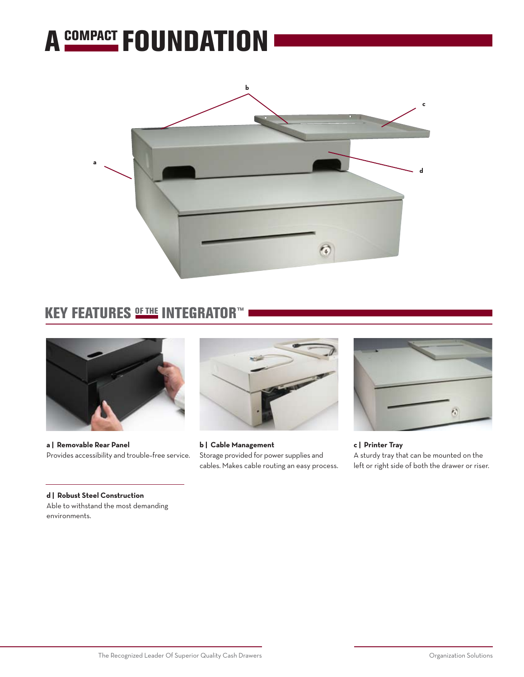



## KEY FEATURES <u>®ETHE</u> INTEGRATOR™



**a | Removable Rear Panel** Provides accessibility and trouble–free service.

**d | Robust Steel Construction** Able to withstand the most demanding environments.



**b | Cable Management** Storage provided for power supplies and cables. Makes cable routing an easy process.



**c | Printer Tray** A sturdy tray that can be mounted on the left or right side of both the drawer or riser.